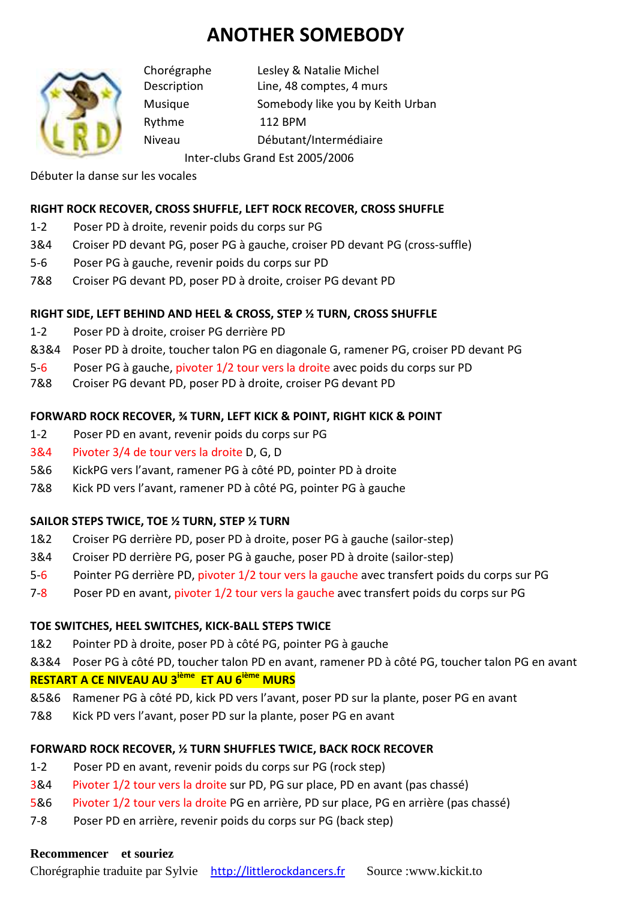# **ANOTHER SOMEBODY**



Chorégraphe Lesley & Natalie Michel Description Line, 48 comptes, 4 murs Musique Somebody like you by Keith Urban Rythme 112 BPM Niveau Débutant/Intermédiaire Inter-clubs Grand Est 2005/2006

Débuter la danse sur les vocales

## **RIGHT ROCK RECOVER, CROSS SHUFFLE, LEFT ROCK RECOVER, CROSS SHUFFLE**

- 1-2 Poser PD à droite, revenir poids du corps sur PG
- 3&4 Croiser PD devant PG, poser PG à gauche, croiser PD devant PG (cross-suffle)
- 5-6 Poser PG à gauche, revenir poids du corps sur PD
- 7&8 Croiser PG devant PD, poser PD à droite, croiser PG devant PD

### **RIGHT SIDE, LEFT BEHIND AND HEEL & CROSS, STEP ½ TURN, CROSS SHUFFLE**

- 1-2 Poser PD à droite, croiser PG derrière PD
- &3&4 Poser PD à droite, toucher talon PG en diagonale G, ramener PG, croiser PD devant PG
- 5-6 Poser PG à gauche, pivoter 1/2 tour vers la droite avec poids du corps sur PD
- 7&8 Croiser PG devant PD, poser PD à droite, croiser PG devant PD

### **FORWARD ROCK RECOVER, ¾ TURN, LEFT KICK & POINT, RIGHT KICK & POINT**

- 1-2 Poser PD en avant, revenir poids du corps sur PG
- 3&4 Pivoter 3/4 de tour vers la droite D, G, D
- 5&6 KickPG vers l'avant, ramener PG à côté PD, pointer PD à droite
- 7&8 Kick PD vers l'avant, ramener PD à côté PG, pointer PG à gauche

### **SAILOR STEPS TWICE, TOE ½ TURN, STEP ½ TURN**

- 1&2 Croiser PG derrière PD, poser PD à droite, poser PG à gauche (sailor-step)
- 3&4 Croiser PD derrière PG, poser PG à gauche, poser PD à droite (sailor-step)
- 5-6 Pointer PG derrière PD, pivoter 1/2 tour vers la gauche avec transfert poids du corps sur PG
- 7-8 Poser PD en avant, pivoter 1/2 tour vers la gauche avec transfert poids du corps sur PG

### **TOE SWITCHES, HEEL SWITCHES, KICK-BALL STEPS TWICE**

1&2 Pointer PD à droite, poser PD à côté PG, pointer PG à gauche

&3&4 Poser PG à côté PD, toucher talon PD en avant, ramener PD à côté PG, toucher talon PG en avant **RESTART A CE NIVEAU AU 3ième ET AU 6ième MURS** 

- &5&6 Ramener PG à côté PD, kick PD vers l'avant, poser PD sur la plante, poser PG en avant
- 7&8 Kick PD vers l'avant, poser PD sur la plante, poser PG en avant

### **FORWARD ROCK RECOVER, ½ TURN SHUFFLES TWICE, BACK ROCK RECOVER**

- 1-2 Poser PD en avant, revenir poids du corps sur PG (rock step)
- 3&4 Pivoter 1/2 tour vers la droite sur PD, PG sur place, PD en avant (pas chassé)
- 5&6 Pivoter 1/2 tour vers la droite PG en arrière, PD sur place, PG en arrière (pas chassé)
- 7-8 Poser PD en arrière, revenir poids du corps sur PG (back step)

### **Recommencer et souriez**

Chorégraphie traduite par Sylvie http://littlerockdancers.fr Source :www.kickit.to